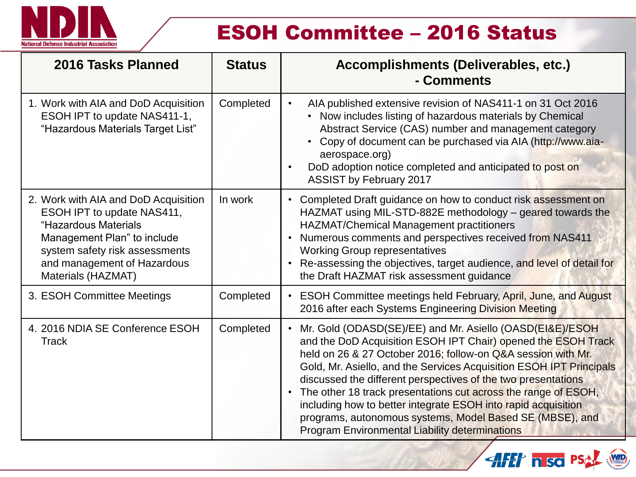

# ESOH Committee – 2016 Status

| 2016 Tasks Planned                                                                                                                                                                                               | <b>Status</b> | Accomplishments (Deliverables, etc.)<br>- Comments                                                                                                                                                                                                                                                                                                                                                                                                                                                                                                                                                     |
|------------------------------------------------------------------------------------------------------------------------------------------------------------------------------------------------------------------|---------------|--------------------------------------------------------------------------------------------------------------------------------------------------------------------------------------------------------------------------------------------------------------------------------------------------------------------------------------------------------------------------------------------------------------------------------------------------------------------------------------------------------------------------------------------------------------------------------------------------------|
| 1. Work with AIA and DoD Acquisition<br>ESOH IPT to update NAS411-1,<br>"Hazardous Materials Target List"                                                                                                        | Completed     | AIA published extensive revision of NAS411-1 on 31 Oct 2016<br>$\bullet$<br>Now includes listing of hazardous materials by Chemical<br>Abstract Service (CAS) number and management category<br>Copy of document can be purchased via AIA (http://www.aia-<br>aerospace.org)<br>DoD adoption notice completed and anticipated to post on<br>$\bullet$<br><b>ASSIST by February 2017</b>                                                                                                                                                                                                                |
| 2. Work with AIA and DoD Acquisition<br>ESOH IPT to update NAS411,<br>"Hazardous Materials<br>Management Plan" to include<br>system safety risk assessments<br>and management of Hazardous<br>Materials (HAZMAT) | In work       | Completed Draft guidance on how to conduct risk assessment on<br>$\bullet$<br>HAZMAT using MIL-STD-882E methodology – geared towards the<br>HAZMAT/Chemical Management practitioners<br>Numerous comments and perspectives received from NAS411<br>$\bullet$<br><b>Working Group representatives</b><br>Re-assessing the objectives, target audience, and level of detail for<br>$\bullet$<br>the Draft HAZMAT risk assessment quidance                                                                                                                                                                |
| 3. ESOH Committee Meetings                                                                                                                                                                                       | Completed     | <b>ESOH Committee meetings held February, April, June, and August</b><br>$\bullet$<br>2016 after each Systems Engineering Division Meeting                                                                                                                                                                                                                                                                                                                                                                                                                                                             |
| 4. 2016 NDIA SE Conference ESOH<br><b>Track</b>                                                                                                                                                                  | Completed     | Mr. Gold (ODASD(SE)/EE) and Mr. Asiello (OASD(EI&E)/ESOH<br>and the DoD Acquisition ESOH IPT Chair) opened the ESOH Track<br>held on 26 & 27 October 2016; follow-on Q&A session with Mr.<br>Gold, Mr. Asiello, and the Services Acquisition ESOH IPT Principals<br>discussed the different perspectives of the two presentations<br>The other 18 track presentations cut across the range of ESOH,<br>$\bullet$<br>including how to better integrate ESOH into rapid acquisition<br>programs, autonomous systems, Model Based SE (MBSE), and<br><b>Program Environmental Liability determinations</b> |